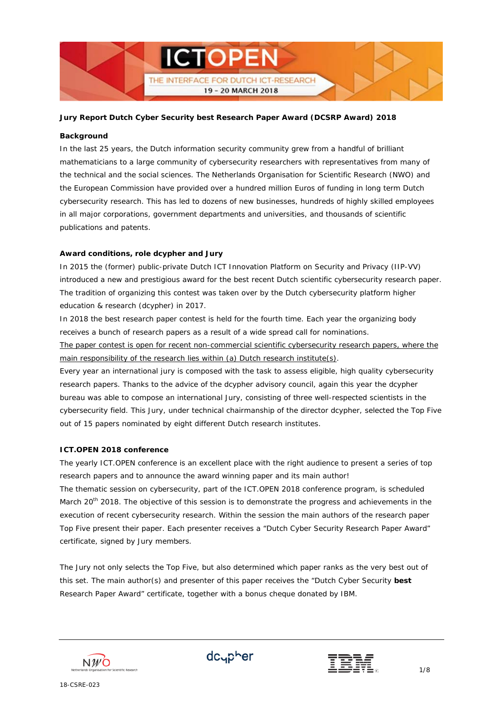

## **Background**

In the last 25 years, the Dutch information security community grew from a handful of brilliant mathematicians to a large community of cybersecurity researchers with representatives from many of the technical and the social sciences. The Netherlands Organisation for Scientific Research (NWO) and the European Commission have provided over a hundred million Euros of funding in long term Dutch cybersecurity research. This has led to dozens of new businesses, hundreds of highly skilled employees in all major corporations, government departments and universities, and thousands of scientific publications and patents.

# **Award conditions, role dcypher and Jury**

In 2015 the (former) public-private Dutch ICT Innovation Platform on Security and Privacy (IIP-VV) introduced a new and prestigious award for the best recent Dutch scientific cybersecurity research paper. The tradition of organizing this contest was taken over by the Dutch cybersecurity platform higher education & research (dcypher) in 2017.

In 2018 the best research paper contest is held for the fourth time. Each year the organizing body receives a bunch of research papers as a result of a wide spread call for nominations. The paper contest is open for recent non-commercial scientific cybersecurity research papers, where the

main responsibility of the research lies within (a) Dutch research institute(s).

Every year an international jury is composed with the task to assess eligible, high quality cybersecurity research papers. Thanks to the advice of the dcypher advisory council, again this year the dcypher bureau was able to compose an international Jury, consisting of three well-respected scientists in the cybersecurity field. This Jury, under technical chairmanship of the director dcypher, selected the Top Five out of 15 papers nominated by eight different Dutch research institutes.

# **ICT.OPEN 2018 conference**

The yearly ICT.OPEN conference is an excellent place with the right audience to present a series of top research papers and to announce the award winning paper and its main author! The thematic session on cybersecurity, part of the ICT.OPEN 2018 conference program, is scheduled March 20<sup>th</sup> 2018. The objective of this session is to demonstrate the progress and achievements in the execution of recent cybersecurity research. Within the session the main authors of the research paper Top Five present their paper. Each presenter receives a "Dutch Cyber Security Research Paper Award" certificate, signed by Jury members.

The Jury not only selects the Top Five, but also determined which paper ranks as the very best out of this set. The main author(s) and presenter of this paper receives the "Dutch Cyber Security **best** Research Paper Award" certificate, together with a bonus cheque donated by IBM.





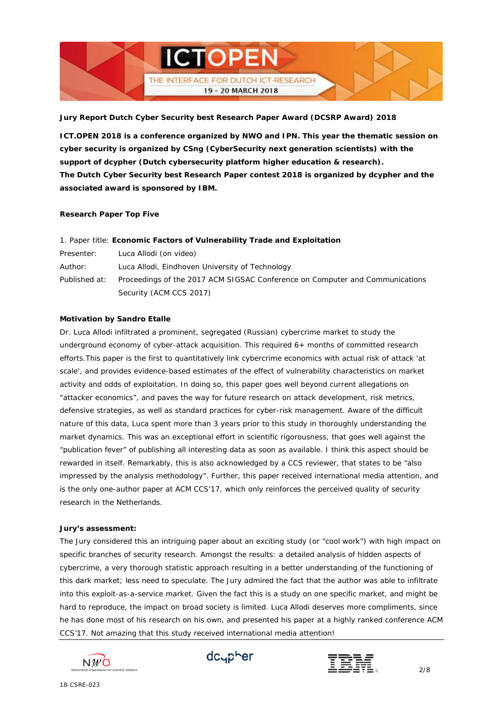

**ICT.OPEN 2018 is a conference organized by NWO and IPN. This year the thematic session on cyber security is organized by CSng (CyberSecurity next generation scientists) with the support of dcypher (Dutch cybersecurity platform higher education & research). The Dutch Cyber Security best Research Paper contest 2018 is organized by dcypher and the associated award is sponsored by IBM.**

#### **Research Paper Top Five**

|                   | 1. Paper title: Economic Factors of Vulnerability Trade and Exploitation     |
|-------------------|------------------------------------------------------------------------------|
| <i>Presenter:</i> | Luca Allodi (on video)                                                       |
| Author:           | Luca Allodi, Eindhoven University of Technology                              |
| Published at:     | Proceedings of the 2017 ACM SIGSAC Conference on Computer and Communications |
|                   | Security (ACM CCS 2017)                                                      |

## **Motivation by Sandro Etalle**

Dr. Luca Allodi infiltrated a prominent, segregated (Russian) cybercrime market to study the underground economy of cyber-attack acquisition. This required 6+ months of committed research efforts.This paper is the first to quantitatively link cybercrime economics with actual risk of attack 'at scale', and provides evidence-based estimates of the effect of vulnerability characteristics on market activity and odds of exploitation. In doing so, this paper goes well beyond current allegations on "attacker economics", and paves the way for future research on attack development, risk metrics, defensive strategies, as well as standard practices for cyber-risk management. Aware of the difficult nature of this data, Luca spent more than 3 years prior to this study in thoroughly understanding the market dynamics. This was an exceptional effort in scientific rigorousness, that goes well against the "publication fever" of publishing all interesting data as soon as available. I think this aspect should be rewarded in itself. Remarkably, this is also acknowledged by a CCS reviewer, that states to be "also impressed by the analysis methodology". Further, this paper received international media attention, and is the only one-author paper at ACM CCS'17, which only reinforces the perceived quality of security research in the Netherlands.

#### **Jury's assessment:**

*The Jury considered this an intriguing paper about an exciting study (or "cool work") with high impact on specific branches of security research. Amongst the results: a detailed analysis of hidden aspects of cybercrime, a very thorough statistic approach resulting in a better understanding of the functioning of this dark market; less need to speculate. The Jury admired the fact that the author was able to infiltrate into this exploit-as-a-service market. Given the fact this is a study on one specific market, and might be hard to reproduce, the impact on broad society is limited. Luca Allodi deserves more compliments, since he has done most of his research on his own, and presented his paper at a highly ranked conference ACM CCS'17. Not amazing that this study received international media attention!*





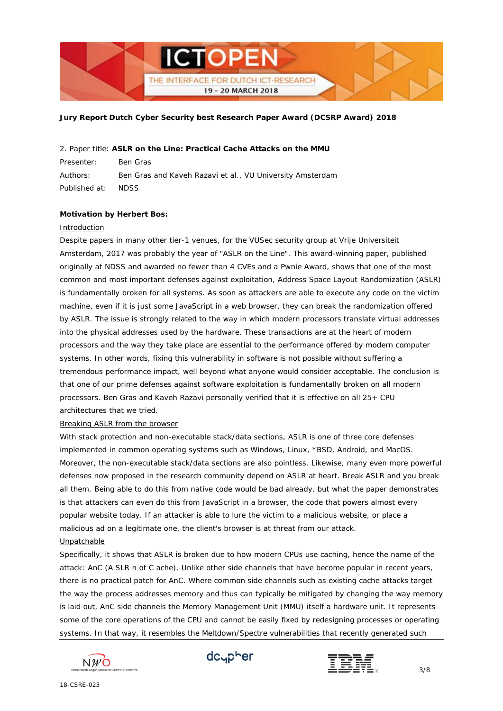

#### *2. Paper title:* **ASLR on the Line: Practical Cache Attacks on the MMU**

*Presenter:* Ben Gras *Authors:* Ben Gras and Kaveh Razavi et al., VU University Amsterdam *Published at*: NDSS

## **Motivation by Herbert Bos:**

#### Introduction

Despite papers in many other tier-1 venues, for the VUSec security group at Vrije Universiteit Amsterdam, 2017 was probably the year of "ASLR on the Line". This award-winning paper, published originally at NDSS and awarded no fewer than 4 CVEs and a Pwnie Award, shows that one of the most common and most important defenses against exploitation, Address Space Layout Randomization (ASLR) is fundamentally broken for all systems. As soon as attackers are able to execute any code on the victim machine, even if it is just some JavaScript in a web browser, they can break the randomization offered by ASLR. The issue is strongly related to the way in which modern processors translate virtual addresses into the physical addresses used by the hardware. These transactions are at the heart of modern processors and the way they take place are essential to the performance offered by modern computer systems. In other words, fixing this vulnerability in software is not possible without suffering a tremendous performance impact, well beyond what anyone would consider acceptable. The conclusion is that one of our prime defenses against software exploitation is fundamentally broken on all modern processors. Ben Gras and Kaveh Razavi personally verified that it is effective on all 25+ CPU architectures that we tried.

### Breaking ASLR from the browser

With stack protection and non-executable stack/data sections, ASLR is one of three core defenses implemented in common operating systems such as Windows, Linux, \*BSD, Android, and MacOS. Moreover, the non-executable stack/data sections are also pointless. Likewise, many even more powerful defenses now proposed in the research community depend on ASLR at heart. Break ASLR and you break all them. Being able to do this from native code would be bad already, but what the paper demonstrates is that attackers can even do this from JavaScript in a browser, the code that powers almost every popular website today. If an attacker is able to lure the victim to a malicious website, or place a malicious ad on a legitimate one, the client's browser is at threat from our attack.

### Unpatchable

Specifically, it shows that ASLR is broken due to how modern CPUs use caching, hence the name of the attack: AnC (A SLR n ot C ache). Unlike other side channels that have become popular in recent years, there is no practical patch for AnC. Where common side channels such as existing cache attacks target the way the process addresses memory and thus can typically be mitigated by changing the way memory is laid out, AnC side channels the Memory Management Unit (MMU) itself a hardware unit. It represents some of the core operations of the CPU and cannot be easily fixed by redesigning processes or operating systems. In that way, it resembles the Meltdown/Spectre vulnerabilities that recently generated such





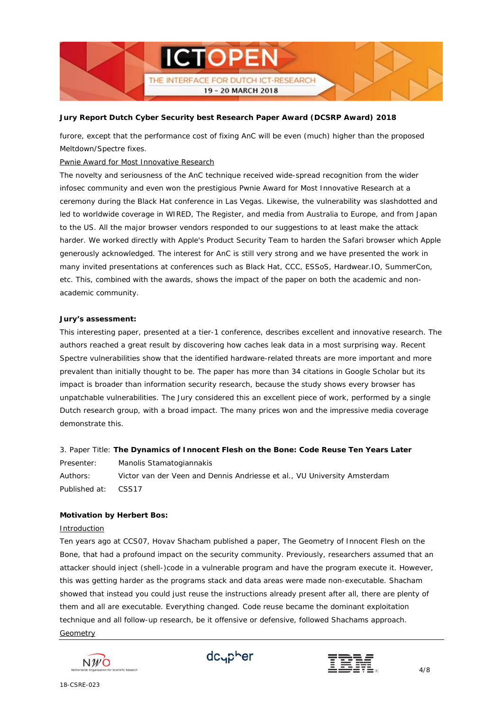

furore, except that the performance cost of fixing AnC will be even (much) higher than the proposed Meltdown/Spectre fixes.

# Pwnie Award for Most Innovative Research

The novelty and seriousness of the AnC technique received wide-spread recognition from the wider infosec community and even won the prestigious Pwnie Award for Most Innovative Research at a ceremony during the Black Hat conference in Las Vegas. Likewise, the vulnerability was slashdotted and led to worldwide coverage in WIRED, The Register, and media from Australia to Europe, and from Japan to the US. All the major browser vendors responded to our suggestions to at least make the attack harder. We worked directly with Apple's Product Security Team to harden the Safari browser which Apple generously acknowledged. The interest for AnC is still very strong and we have presented the work in many invited presentations at conferences such as Black Hat, CCC, ESSoS, Hardwear.IO, SummerCon, etc. This, combined with the awards, shows the impact of the paper on both the academic and nonacademic community.

#### **Jury's assessment:**

*This interesting paper, presented at a tier-1 conference, describes excellent and innovative research. The authors reached a great result by discovering how caches leak data in a most surprising way. Recent Spectre vulnerabilities show that the identified hardware-related threats are more important and more prevalent than initially thought to be. The paper has more than 34 citations in Google Scholar but its impact is broader than information security research, because the study shows every browser has unpatchable vulnerabilities. The Jury considered this an excellent piece of work, performed by a single Dutch research group, with a broad impact. The many prices won and the impressive media coverage demonstrate this.*

# *3. Paper Title:* **The Dynamics of Innocent Flesh on the Bone: Code Reuse Ten Years Later**

*Presenter:* Manolis Stamatogiannakis *Authors:* Victor van der Veen and Dennis Andriesse et al., VU University Amsterdam *Published at*: CSS17

#### **Motivation by Herbert Bos:**

#### Introduction

Ten years ago at CCS07, Hovav Shacham published a paper, The Geometry of Innocent Flesh on the Bone, that had a profound impact on the security community. Previously, researchers assumed that an attacker should inject (shell-)code in a vulnerable program and have the program execute it. However, this was getting harder as the programs stack and data areas were made non-executable. Shacham showed that instead you could just reuse the instructions already present after all, there are plenty of them and all are executable. Everything changed. Code reuse became the dominant exploitation technique and all follow-up research, be it offensive or defensive, followed Shachams approach. Geometry





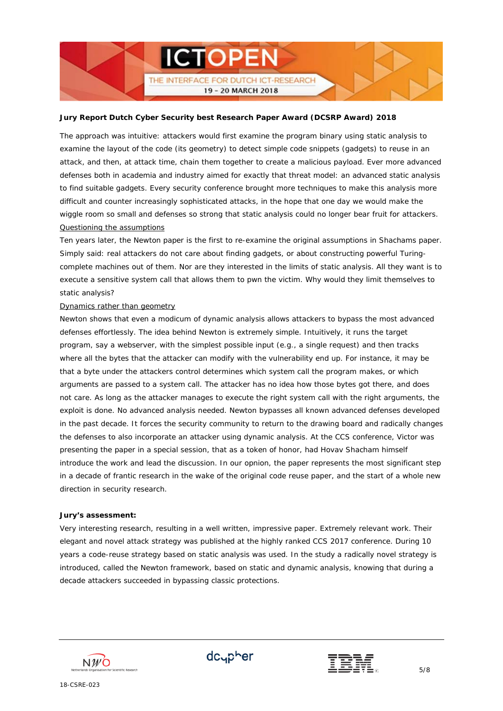

The approach was intuitive: attackers would first examine the program binary using static analysis to examine the layout of the code (its geometry) to detect simple code snippets (gadgets) to reuse in an attack, and then, at attack time, chain them together to create a malicious payload. Ever more advanced defenses both in academia and industry aimed for exactly that threat model: an advanced static analysis to find suitable gadgets. Every security conference brought more techniques to make this analysis more difficult and counter increasingly sophisticated attacks, in the hope that one day we would make the wiggle room so small and defenses so strong that static analysis could no longer bear fruit for attackers. Questioning the assumptions

Ten years later, the Newton paper is the first to re-examine the original assumptions in Shachams paper. Simply said: real attackers do not care about finding gadgets, or about constructing powerful Turingcomplete machines out of them. Nor are they interested in the limits of static analysis. All they want is to execute a sensitive system call that allows them to pwn the victim. Why would they limit themselves to static analysis?

### Dynamics rather than geometry

Newton shows that even a modicum of dynamic analysis allows attackers to bypass the most advanced defenses effortlessly. The idea behind Newton is extremely simple. Intuitively, it runs the target program, say a webserver, with the simplest possible input (e.g., a single request) and then tracks where all the bytes that the attacker can modify with the vulnerability end up. For instance, it may be that a byte under the attackers control determines which system call the program makes, or which arguments are passed to a system call. The attacker has no idea how those bytes got there, and does not care. As long as the attacker manages to execute the right system call with the right arguments, the exploit is done. No advanced analysis needed. Newton bypasses all known advanced defenses developed in the past decade. It forces the security community to return to the drawing board and radically changes the defenses to also incorporate an attacker using dynamic analysis. At the CCS conference, Victor was presenting the paper in a special session, that as a token of honor, had Hovav Shacham himself introduce the work and lead the discussion. In our opnion, the paper represents the most significant step in a decade of frantic research in the wake of the original code reuse paper, and the start of a whole new direction in security research.

#### **Jury's assessment:**

*Very interesting research, resulting in a well written, impressive paper. Extremely relevant work. Their elegant and novel attack strategy was published at the highly ranked CCS 2017 conference. During 10 years a code-reuse strategy based on static analysis was used. In the study a radically novel strategy is introduced, called the Newton framework, based on static and dynamic analysis, knowing that during a decade attackers succeeded in bypassing classic protections.*





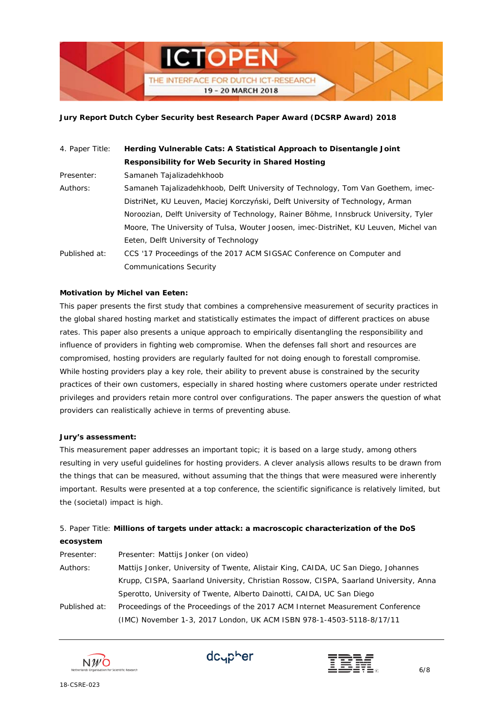

| 4. Paper Title: | Herding Vulnerable Cats: A Statistical Approach to Disentangle Joint                 |
|-----------------|--------------------------------------------------------------------------------------|
|                 | Responsibility for Web Security in Shared Hosting                                    |
| Presenter:      | Samaneh Tajalizadehkhoob                                                             |
| Authors:        | Samaneh Tajalizadehkhoob, Delft University of Technology, Tom Van Goethem, imec-     |
|                 | DistriNet, KU Leuven, Maciej Korczyński, Delft University of Technology, Arman       |
|                 | Noroozian, Delft University of Technology, Rainer Böhme, Innsbruck University, Tyler |
|                 | Moore, The University of Tulsa, Wouter Joosen, imec-DistriNet, KU Leuven, Michel van |
|                 | Eeten, Delft University of Technology                                                |
| Published at:   | CCS '17 Proceedings of the 2017 ACM SIGSAC Conference on Computer and                |
|                 | <b>Communications Security</b>                                                       |

## **Motivation by Michel van Eeten:**

This paper presents the first study that combines a comprehensive measurement of security practices in the global shared hosting market and statistically estimates the impact of different practices on abuse rates. This paper also presents a unique approach to empirically disentangling the responsibility and influence of providers in fighting web compromise. When the defenses fall short and resources are compromised, hosting providers are regularly faulted for not doing enough to forestall compromise. While hosting providers play a key role, their ability to prevent abuse is constrained by the security practices of their own customers, especially in shared hosting where customers operate under restricted privileges and providers retain more control over configurations. The paper answers the question of what providers can realistically achieve in terms of preventing abuse.

#### **Jury's assessment:**

*This measurement paper addresses an important topic; it is based on a large study, among others resulting in very useful guidelines for hosting providers. A clever analysis allows results to be drawn from the things that can be measured, without assuming that the things that were measured were inherently important. Results were presented at a top conference, the scientific significance is relatively limited, but the (societal) impact is high.*

# *5. Paper Title:* **Millions of targets under attack: a macroscopic characterization of the DoS ecosystem**

| Presenter:    | Presenter: Mattijs Jonker (on video)                                                  |
|---------------|---------------------------------------------------------------------------------------|
| Authors:      | Mattijs Jonker, University of Twente, Alistair King, CAIDA, UC San Diego, Johannes    |
|               | Krupp, CISPA, Saarland University, Christian Rossow, CISPA, Saarland University, Anna |
|               | Sperotto, University of Twente, Alberto Dainotti, CAIDA, UC San Diego                 |
| Published at: | Proceedings of the Proceedings of the 2017 ACM Internet Measurement Conference        |
|               | (IMC) November 1-3, 2017 London, UK ACM ISBN 978-1-4503-5118-8/17/11                  |





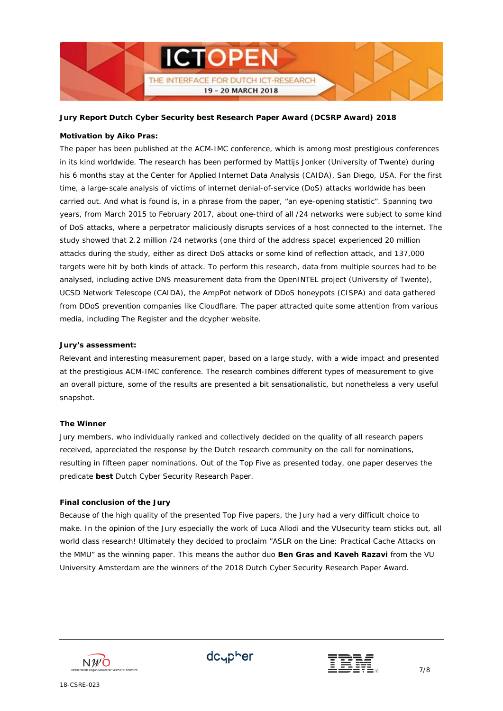

# **Motivation by Aiko Pras:**

The paper has been published at the ACM-IMC conference, which is among most prestigious conferences in its kind worldwide. The research has been performed by Mattijs Jonker (University of Twente) during his 6 months stay at the Center for Applied Internet Data Analysis (CAIDA), San Diego, USA. For the first time, a large-scale analysis of victims of internet denial-of-service (DoS) attacks worldwide has been carried out. And what is found is, in a phrase from the paper, "an eye-opening statistic". Spanning two years, from March 2015 to February 2017, about one-third of all /24 networks were subject to some kind of DoS attacks, where a perpetrator maliciously disrupts services of a host connected to the internet. The study showed that 2.2 million /24 networks (one third of the address space) experienced 20 million attacks during the study, either as direct DoS attacks or some kind of reflection attack, and 137,000 targets were hit by both kinds of attack. To perform this research, data from multiple sources had to be analysed, including active DNS measurement data from the OpenINTEL project (University of Twente), UCSD Network Telescope (CAIDA), the AmpPot network of DDoS honeypots (CISPA) and data gathered from DDoS prevention companies like Cloudflare. The paper attracted quite some attention from various media, including The Register and the dcypher website.

## **Jury's assessment:**

*Relevant and interesting measurement paper, based on a large study, with a wide impact and presented at the prestigious ACM-IMC conference. The research combines different types of measurement to give an overall picture, some of the results are presented a bit sensationalistic, but nonetheless a very useful snapshot.*

#### **The Winner**

Jury members, who individually ranked and collectively decided on the quality of all research papers received, appreciated the response by the Dutch research community on the call for nominations, resulting in fifteen paper nominations. Out of the Top Five as presented today, one paper deserves the predicate **best** Dutch Cyber Security Research Paper.

# **Final conclusion of the Jury**

*Because of the high quality of the presented Top Five papers, the Jury had a very difficult choice to make. In the opinion of the Jury especially the work of Luca Allodi and the VUsecurity team sticks out, all world class research! Ultimately they decided to proclaim "ASLR on the Line: Practical Cache Attacks on the MMU" as the winning paper. This means the author duo Ben Gras and Kaveh Razavi from the VU University Amsterdam are the winners of the 2018 Dutch Cyber Security Research Paper Award.*